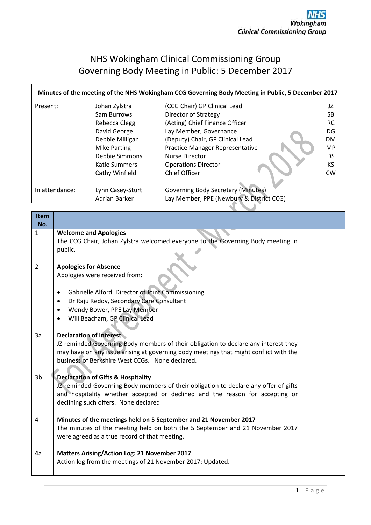# NHS Wokingham Clinical Commissioning Group Governing Body Meeting in Public: 5 December 2017

 $\overline{\phantom{a}}$ 

| Minutes of the meeting of the NHS Wokingham CCG Governing Body Meeting in Public, 5 December 2017 |                     |                                           |           |
|---------------------------------------------------------------------------------------------------|---------------------|-------------------------------------------|-----------|
| Present:                                                                                          | Johan Zylstra       | (CCG Chair) GP Clinical Lead              | JZ        |
|                                                                                                   | Sam Burrows         | Director of Strategy                      | SB.       |
|                                                                                                   | Rebecca Clegg       | (Acting) Chief Finance Officer            | <b>RC</b> |
|                                                                                                   | David George        | Lay Member, Governance                    | DG        |
|                                                                                                   | Debbie Milligan     | (Deputy) Chair, GP Clinical Lead          | <b>DM</b> |
|                                                                                                   | <b>Mike Parting</b> | Practice Manager Representative           | <b>MP</b> |
|                                                                                                   | Debbie Simmons      | Nurse Director                            | <b>DS</b> |
|                                                                                                   | Katie Summers       | <b>Operations Director</b>                | <b>KS</b> |
|                                                                                                   | Cathy Winfield      | Chief Officer                             | <b>CW</b> |
|                                                                                                   |                     |                                           |           |
| In attendance:                                                                                    | Lynn Casey-Sturt    | <b>Governing Body Secretary (Minutes)</b> |           |
|                                                                                                   | Adrian Barker       | Lay Member, PPE (Newbury & District CCG)  |           |
|                                                                                                   |                     |                                           |           |

| <b>Item</b><br>No. |                                                                                       |  |
|--------------------|---------------------------------------------------------------------------------------|--|
| $\mathbf{1}$       | <b>Welcome and Apologies</b>                                                          |  |
|                    | The CCG Chair, Johan Zylstra welcomed everyone to the Governing Body meeting in       |  |
|                    | public.                                                                               |  |
| $\overline{2}$     | <b>Apologies for Absence</b>                                                          |  |
|                    | Apologies were received from:                                                         |  |
|                    | Gabrielle Alford, Director of Joint Commissioning<br>$\bullet$                        |  |
|                    | Dr Raju Reddy, Secondary Care Consultant<br>$\bullet$                                 |  |
|                    | Wendy Bower, PPE Lay Member<br>$\bullet$                                              |  |
|                    | Will Beacham, GP Clinical Lead                                                        |  |
|                    |                                                                                       |  |
| 3a                 | <b>Declaration of Interest</b>                                                        |  |
|                    | JZ reminded Governing Body members of their obligation to declare any interest they   |  |
|                    | may have on any issue arising at governing body meetings that might conflict with the |  |
|                    | business of Berkshire West CCGs. None declared.                                       |  |
| 3b                 | <b>Declaration of Gifts &amp; Hospitality</b>                                         |  |
|                    | JZ reminded Governing Body members of their obligation to declare any offer of gifts  |  |
|                    | and hospitality whether accepted or declined and the reason for accepting or          |  |
|                    | declining such offers. None declared                                                  |  |
|                    |                                                                                       |  |
| 4                  | Minutes of the meetings held on 5 September and 21 November 2017                      |  |
|                    | The minutes of the meeting held on both the 5 September and 21 November 2017          |  |
|                    | were agreed as a true record of that meeting.                                         |  |
|                    |                                                                                       |  |
| 4a                 | <b>Matters Arising/Action Log: 21 November 2017</b>                                   |  |
|                    | Action log from the meetings of 21 November 2017: Updated.                            |  |
|                    |                                                                                       |  |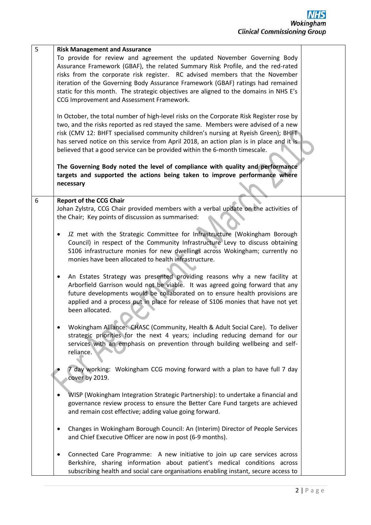| 5 | <b>Risk Management and Assurance</b><br>To provide for review and agreement the updated November Governing Body<br>Assurance Framework (GBAF), the related Summary Risk Profile, and the red-rated<br>risks from the corporate risk register. RC advised members that the November<br>iteration of the Governing Body Assurance Framework (GBAF) ratings had remained<br>static for this month. The strategic objectives are aligned to the domains in NHS E's<br>CCG Improvement and Assessment Framework. |  |
|---|-------------------------------------------------------------------------------------------------------------------------------------------------------------------------------------------------------------------------------------------------------------------------------------------------------------------------------------------------------------------------------------------------------------------------------------------------------------------------------------------------------------|--|
|   | In October, the total number of high-level risks on the Corporate Risk Register rose by<br>two, and the risks reported as red stayed the same. Members were advised of a new<br>risk (CMV 12: BHFT specialised community children's nursing at Ryeish Green); BHFT<br>has served notice on this service from April 2018, an action plan is in place and it is<br>believed that a good service can be provided within the 6-month timescale.                                                                 |  |
|   | The Governing Body noted the level of compliance with quality and performance<br>targets and supported the actions being taken to improve performance where<br>necessary                                                                                                                                                                                                                                                                                                                                    |  |
| 6 | <b>Report of the CCG Chair</b><br>Johan Zylstra, CCG Chair provided members with a verbal update on the activities of<br>the Chair; Key points of discussion as summarised:                                                                                                                                                                                                                                                                                                                                 |  |
|   | JZ met with the Strategic Committee for Infrastructure (Wokingham Borough<br>٠<br>Council) in respect of the Community Infrastructure Levy to discuss obtaining<br>S106 infrastructure monies for new dwellings across Wokingham; currently no<br>monies have been allocated to health infrastructure.                                                                                                                                                                                                      |  |
|   | An Estates Strategy was presented providing reasons why a new facility at<br>٠<br>Arborfield Garrison would not be viable. It was agreed going forward that any<br>future developments would be collaborated on to ensure health provisions are<br>applied and a process put in place for release of S106 monies that have not yet<br>been allocated.                                                                                                                                                       |  |
|   | Wokingham Alliance: CHASC (Community, Health & Adult Social Care). To deliver<br>strategic priorities for the next 4 years; including reducing demand for our<br>services with an emphasis on prevention through building wellbeing and self-<br>reliance.                                                                                                                                                                                                                                                  |  |
|   | day working: Wokingham CCG moving forward with a plan to have full 7 day<br>cover by 2019.                                                                                                                                                                                                                                                                                                                                                                                                                  |  |
|   | WISP (Wokingham Integration Strategic Partnership): to undertake a financial and<br>governance review process to ensure the Better Care Fund targets are achieved<br>and remain cost effective; adding value going forward.                                                                                                                                                                                                                                                                                 |  |
|   | Changes in Wokingham Borough Council: An (Interim) Director of People Services<br>٠<br>and Chief Executive Officer are now in post (6-9 months).                                                                                                                                                                                                                                                                                                                                                            |  |
|   | Connected Care Programme: A new initiative to join up care services across<br>٠<br>Berkshire, sharing information about patient's medical conditions across<br>subscribing health and social care organisations enabling instant, secure access to                                                                                                                                                                                                                                                          |  |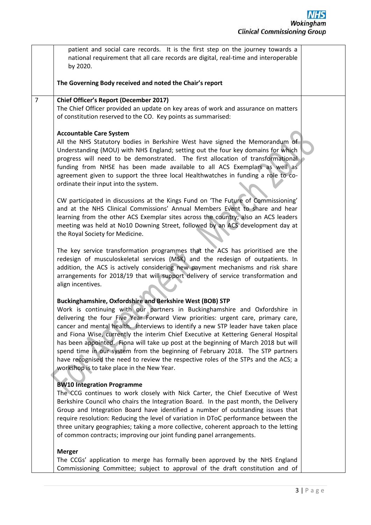|                | patient and social care records. It is the first step on the journey towards a<br>national requirement that all care records are digital, real-time and interoperable<br>by 2020.                                                                                                                                                                                                                                                                                                                                                                                                                                                                                                                                      |  |
|----------------|------------------------------------------------------------------------------------------------------------------------------------------------------------------------------------------------------------------------------------------------------------------------------------------------------------------------------------------------------------------------------------------------------------------------------------------------------------------------------------------------------------------------------------------------------------------------------------------------------------------------------------------------------------------------------------------------------------------------|--|
|                | The Governing Body received and noted the Chair's report                                                                                                                                                                                                                                                                                                                                                                                                                                                                                                                                                                                                                                                               |  |
| $\overline{7}$ | <b>Chief Officer's Report (December 2017)</b><br>The Chief Officer provided an update on key areas of work and assurance on matters<br>of constitution reserved to the CO. Key points as summarised:                                                                                                                                                                                                                                                                                                                                                                                                                                                                                                                   |  |
|                | <b>Accountable Care System</b><br>All the NHS Statutory bodies in Berkshire West have signed the Memorandum of<br>Understanding (MOU) with NHS England; setting out the four key domains for which<br>progress will need to be demonstrated. The first allocation of transformational<br>funding from NHSE has been made available to all ACS Exemplars as well as<br>agreement given to support the three local Healthwatches in funding a role to co-<br>ordinate their input into the system.                                                                                                                                                                                                                       |  |
|                | CW participated in discussions at the Kings Fund on 'The Future of Commissioning'<br>and at the NHS Clinical Commissions' Annual Members Event to share and hear<br>learning from the other ACS Exemplar sites across the country; also an ACS leaders<br>meeting was held at No10 Downing Street, followed by an ACS development day at<br>the Royal Society for Medicine.                                                                                                                                                                                                                                                                                                                                            |  |
|                | The key service transformation programmes that the ACS has prioritised are the<br>redesign of musculoskeletal services (MSK) and the redesign of outpatients. In<br>addition, the ACS is actively considering new payment mechanisms and risk share<br>arrangements for 2018/19 that will support delivery of service transformation and<br>align incentives.                                                                                                                                                                                                                                                                                                                                                          |  |
|                | Buckinghamshire, Oxfordshire and Berkshire West (BOB) STP<br>Work is continuing with our partners in Buckinghamshire and Oxfordshire in<br>delivering the four Five Year Forward View priorities: urgent care, primary care,<br>cancer and mental health. Interviews to identify a new STP leader have taken place<br>and Fiona Wise, currently the interim Chief Executive at Kettering General Hospital<br>has been appointed. Fiona will take up post at the beginning of March 2018 but will<br>spend time in our system from the beginning of February 2018. The STP partners<br>have recognised the need to review the respective roles of the STPs and the ACS; a<br>workshop is to take place in the New Year. |  |
|                | <b>BW10 Integration Programme</b><br>The CCG continues to work closely with Nick Carter, the Chief Executive of West<br>Berkshire Council who chairs the Integration Board. In the past month, the Delivery<br>Group and Integration Board have identified a number of outstanding issues that<br>require resolution: Reducing the level of variation in DToC performance between the<br>three unitary geographies; taking a more collective, coherent approach to the letting<br>of common contracts; improving our joint funding panel arrangements.                                                                                                                                                                 |  |
|                | <b>Merger</b><br>The CCGs' application to merge has formally been approved by the NHS England<br>Commissioning Committee; subject to approval of the draft constitution and of                                                                                                                                                                                                                                                                                                                                                                                                                                                                                                                                         |  |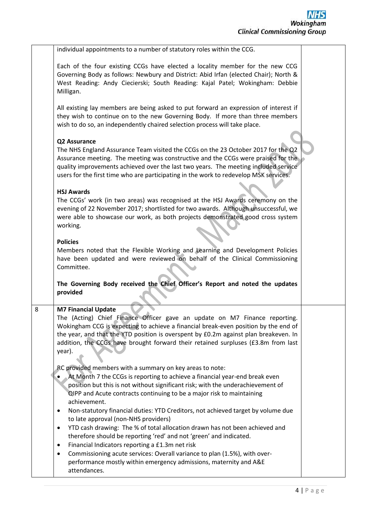|   | individual appointments to a number of statutory roles within the CCG.                                                                                                                                                                                                                                                                                                                                                                                       |  |
|---|--------------------------------------------------------------------------------------------------------------------------------------------------------------------------------------------------------------------------------------------------------------------------------------------------------------------------------------------------------------------------------------------------------------------------------------------------------------|--|
|   | Each of the four existing CCGs have elected a locality member for the new CCG<br>Governing Body as follows: Newbury and District: Abid Irfan (elected Chair); North &<br>West Reading: Andy Ciecierski; South Reading: Kajal Patel; Wokingham: Debbie<br>Milligan.                                                                                                                                                                                           |  |
|   | All existing lay members are being asked to put forward an expression of interest if<br>they wish to continue on to the new Governing Body. If more than three members<br>wish to do so, an independently chaired selection process will take place.                                                                                                                                                                                                         |  |
|   | Q2 Assurance<br>The NHS England Assurance Team visited the CCGs on the 23 October 2017 for the Q2<br>Assurance meeting. The meeting was constructive and the CCGs were praised for the<br>quality improvements achieved over the last two years. The meeting included service<br>users for the first time who are participating in the work to redevelop MSK services.                                                                                       |  |
|   | <b>HSJ Awards</b><br>The CCGs' work (in two areas) was recognised at the HSJ Awards ceremony on the<br>evening of 22 November 2017; shortlisted for two awards. Although unsuccessful, we<br>were able to showcase our work, as both projects demonstrated good cross system<br>working.                                                                                                                                                                     |  |
|   | <b>Policies</b><br>Members noted that the Flexible Working and Learning and Development Policies<br>have been updated and were reviewed on behalf of the Clinical Commissioning<br>Committee.                                                                                                                                                                                                                                                                |  |
|   | The Governing Body received the Chief Officer's Report and noted the updates<br>provided                                                                                                                                                                                                                                                                                                                                                                     |  |
| 8 | <b>M7 Financial Update</b><br>The (Acting) Chief Finance Officer gave an update on M7 Finance reporting.<br>Wokingham CCG is expecting to achieve a financial break-even position by the end of<br>the year, and that the YTD position is overspent by £0.2m against plan breakeven. In<br>addition, the CCGs have brought forward their retained surpluses (£3.8m from last<br>year).                                                                       |  |
|   | RC provided members with a summary on key areas to note:<br>At Month 7 the CCGs is reporting to achieve a financial year-end break even<br>position but this is not without significant risk; with the underachievement of<br>QIPP and Acute contracts continuing to be a major risk to maintaining<br>achievement.<br>Non-statutory financial duties: YTD Creditors, not achieved target by volume due<br>$\bullet$<br>to late approval (non-NHS providers) |  |
|   | YTD cash drawing: The % of total allocation drawn has not been achieved and<br>$\bullet$<br>therefore should be reporting 'red' and not 'green' and indicated.<br>Financial Indicators reporting a £1.3m net risk<br>$\bullet$<br>Commissioning acute services: Overall variance to plan (1.5%), with over-<br>٠<br>performance mostly within emergency admissions, maternity and A&E<br>attendances.                                                        |  |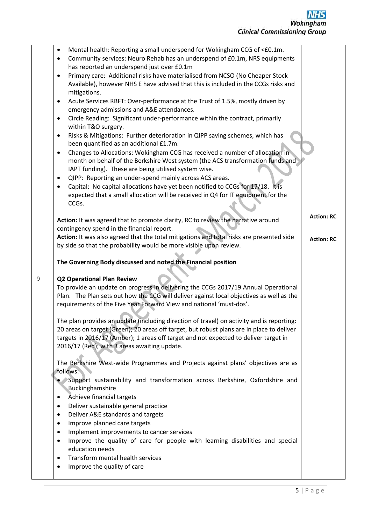|       | Mental health: Reporting a small underspend for Wokingham CCG of <£0.1m.<br>٠                |                   |
|-------|----------------------------------------------------------------------------------------------|-------------------|
|       | Community services: Neuro Rehab has an underspend of £0.1m, NRS equipments<br>٠              |                   |
|       | has reported an underspend just over £0.1m                                                   |                   |
|       | Primary care: Additional risks have materialised from NCSO (No Cheaper Stock<br>$\bullet$    |                   |
|       | Available), however NHS E have advised that this is included in the CCGs risks and           |                   |
|       | mitigations.                                                                                 |                   |
|       |                                                                                              |                   |
|       | Acute Services RBFT: Over-performance at the Trust of 1.5%, mostly driven by<br>$\bullet$    |                   |
|       | emergency admissions and A&E attendances.                                                    |                   |
|       | Circle Reading: Significant under-performance within the contract, primarily<br>٠            |                   |
|       | within T&O surgery.                                                                          |                   |
|       | Risks & Mitigations: Further deterioration in QIPP saving schemes, which has<br>٠            |                   |
|       | been quantified as an additional £1.7m.                                                      |                   |
|       | Changes to Allocations: Wokingham CCG has received a number of allocation in<br>٠            |                   |
|       | month on behalf of the Berkshire West system (the ACS transformation funds and               |                   |
|       | IAPT funding). These are being utilised system wise.                                         |                   |
|       | QIPP: Reporting an under-spend mainly across ACS areas.<br>٠                                 |                   |
|       | Capital: No capital allocations have yet been notified to CCGs for 17/18. It is<br>$\bullet$ |                   |
|       | expected that a small allocation will be received in Q4 for IT equipment for the             |                   |
|       | CCGs.                                                                                        |                   |
|       |                                                                                              |                   |
|       | Action: It was agreed that to promote clarity, RC to review the narrative around             | <b>Action: RC</b> |
|       | contingency spend in the financial report.                                                   |                   |
|       | Action: It was also agreed that the total mitigations and total risks are presented side     | <b>Action: RC</b> |
|       | by side so that the probability would be more visible upon review.                           |                   |
|       |                                                                                              |                   |
|       | The Governing Body discussed and noted the Financial position                                |                   |
|       |                                                                                              |                   |
| $9\,$ | <b>Q2 Operational Plan Review</b>                                                            |                   |
|       | To provide an update on progress in delivering the CCGs 2017/19 Annual Operational           |                   |
|       | Plan. The Plan sets out how the CCG will deliver against local objectives as well as the     |                   |
|       | requirements of the Five Year Forward View and national 'must-dos'.                          |                   |
|       |                                                                                              |                   |
|       | The plan provides an update (including direction of travel) on activity and is reporting:    |                   |
|       | 20 areas on target (Green); 20 areas off target, but robust plans are in place to deliver    |                   |
|       | targets in 2016/17 (Amber); 1 areas off target and not expected to deliver target in         |                   |
|       | 2016/17 (Red); with 3 areas awaiting update.                                                 |                   |
|       |                                                                                              |                   |
|       | The Berkshire West-wide Programmes and Projects against plans' objectives are as             |                   |
|       | follows:                                                                                     |                   |
|       | Support sustainability and transformation across Berkshire, Oxfordshire and                  |                   |
|       |                                                                                              |                   |
|       | Buckinghamshire                                                                              |                   |
|       | Achieve financial targets<br>٠                                                               |                   |
|       | Deliver sustainable general practice<br>٠                                                    |                   |
|       | Deliver A&E standards and targets<br>٠                                                       |                   |
|       | Improve planned care targets<br>٠                                                            |                   |
|       | ٠                                                                                            |                   |
|       | Implement improvements to cancer services<br>$\bullet$                                       |                   |
|       | Improve the quality of care for people with learning disabilities and special                |                   |
|       | education needs<br>٠                                                                         |                   |
|       | Transform mental health services<br>٠                                                        |                   |
|       | Improve the quality of care                                                                  |                   |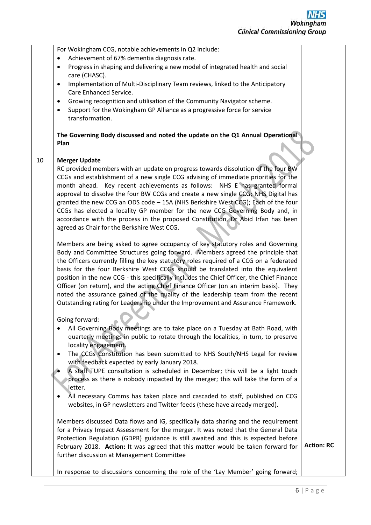For Wokingham CCG, notable achievements in Q2 include: Achievement of 67% dementia diagnosis rate. Progress in shaping and delivering a new model of integrated health and social care (CHASC). • Implementation of Multi-Disciplinary Team reviews, linked to the Anticipatory Care Enhanced Service. Growing recognition and utilisation of the Community Navigator scheme. Support for the Wokingham GP Alliance as a progressive force for service transformation. **The Governing Body discussed and noted the update on the Q1 Annual Operational Plan** 10 **Merger Update** RC provided members with an update on progress towards dissolution of the four BW CCGs and establishment of a new single CCG advising of immediate priorities for the month ahead. Key recent achievements as follows: NHS E has granted formal approval to dissolve the four BW CCGs and create a new single CCG; NHS Digital has granted the new CCG an ODS code – 15A (NHS Berkshire West CCG); Each of the four CCGs has elected a locality GP member for the new CCG Governing Body and, in accordance with the process in the proposed Constitution, Dr Abid Irfan has been agreed as Chair for the Berkshire West CCG. Members are being asked to agree occupancy of key statutory roles and Governing Body and Committee Structures going forward. Members agreed the principle that the Officers currently filling the key statutory roles required of a CCG on a federated basis for the four Berkshire West CCGs should be translated into the equivalent position in the new CCG - this specifically includes the Chief Officer, the Chief Finance Officer (on return), and the acting Chief Finance Officer (on an interim basis). They noted the assurance gained of the quality of the leadership team from the recent Outstanding rating for Leadership under the Improvement and Assurance Framework. Going forward: All Governing Body meetings are to take place on a Tuesday at Bath Road, with quarterly meetings in public to rotate through the localities, in turn, to preserve locality engagement. The CCGs Constitution has been submitted to NHS South/NHS Legal for review with feedback expected by early January 2018. A staff TUPE consultation is scheduled in December; this will be a light touch process as there is nobody impacted by the merger; this will take the form of a letter. • All necessary Comms has taken place and cascaded to staff, published on CCG websites, in GP newsletters and Twitter feeds (these have already merged). Members discussed Data flows and IG, specifically data sharing and the requirement for a Privacy Impact Assessment for the merger. It was noted that the General Data Protection Regulation (GDPR) guidance is still awaited and this is expected before February 2018. **Action:** It was agreed that this matter would be taken forward for further discussion at Management Committee In response to discussions concerning the role of the 'Lay Member' going forward; **Action: RC**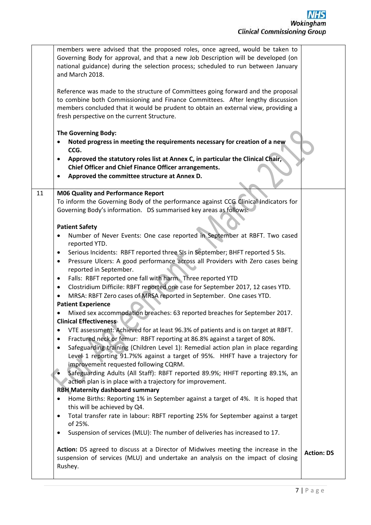|    | members were advised that the proposed roles, once agreed, would be taken to<br>Governing Body for approval, and that a new Job Description will be developed (on<br>national guidance) during the selection process; scheduled to run between January<br>and March 2018.<br>Reference was made to the structure of Committees going forward and the proposal                               |                   |
|----|---------------------------------------------------------------------------------------------------------------------------------------------------------------------------------------------------------------------------------------------------------------------------------------------------------------------------------------------------------------------------------------------|-------------------|
|    | to combine both Commissioning and Finance Committees. After lengthy discussion<br>members concluded that it would be prudent to obtain an external view, providing a<br>fresh perspective on the current Structure.                                                                                                                                                                         |                   |
|    | The Governing Body:<br>Noted progress in meeting the requirements necessary for creation of a new<br>٠<br>CCG.                                                                                                                                                                                                                                                                              |                   |
|    | Approved the statutory roles list at Annex C, in particular the Clinical Chair,<br>٠<br><b>Chief Officer and Chief Finance Officer arrangements.</b><br>Approved the committee structure at Annex D.<br>٠                                                                                                                                                                                   |                   |
| 11 | <b>M06 Quality and Performance Report</b><br>To inform the Governing Body of the performance against CCG Clinical Indicators for<br>Governing Body's information. DS summarised key areas as follows:                                                                                                                                                                                       |                   |
|    | <b>Patient Safety</b><br>Number of Never Events: One case reported in September at RBFT. Two cased<br>$\bullet$<br>reported YTD.                                                                                                                                                                                                                                                            |                   |
|    | Serious Incidents: RBFT reported three SIs in September; BHFT reported 5 SIs.<br>٠<br>Pressure Ulcers: A good performance across all Providers with Zero cases being<br>٠<br>reported in September.<br>Falls: RBFT reported one fall with harm. Three reported YTD<br>٠                                                                                                                     |                   |
|    | Clostridium Difficile: RBFT reported one case for September 2017, 12 cases YTD.<br>٠<br>MRSA: RBFT Zero cases of MRSA reported in September. One cases YTD.<br><b>Patient Experience</b>                                                                                                                                                                                                    |                   |
|    | Mixed sex accommodation breaches: 63 reported breaches for September 2017.<br><b>Clinical Effectiveness</b>                                                                                                                                                                                                                                                                                 |                   |
|    | VTE assessment: Achieved for at least 96.3% of patients and is on target at RBFT.<br>٠<br>Fractured neck or femur: RBFT reporting at 86.8% against a target of 80%.<br>٠<br>Safeguarding training (Children Level 1): Remedial action plan in place regarding<br>٠<br>Level 1 reporting 91.7%% against a target of 95%. HHFT have a trajectory for<br>improvement requested following CQRM. |                   |
|    | Safeguarding Adults (All Staff): RBFT reported 89.9%; HHFT reporting 89.1%, an<br>action plan is in place with a trajectory for improvement.<br><b>RBH Maternity dashboard summary</b>                                                                                                                                                                                                      |                   |
|    | Home Births: Reporting 1% in September against a target of 4%. It is hoped that<br>$\bullet$<br>this will be achieved by Q4.<br>Total transfer rate in labour: RBFT reporting 25% for September against a target<br>$\bullet$                                                                                                                                                               |                   |
|    | of 25%.<br>Suspension of services (MLU): The number of deliveries has increased to 17.<br>٠                                                                                                                                                                                                                                                                                                 |                   |
|    | Action: DS agreed to discuss at a Director of Midwives meeting the increase in the<br>suspension of services (MLU) and undertake an analysis on the impact of closing<br>Rushey.                                                                                                                                                                                                            | <b>Action: DS</b> |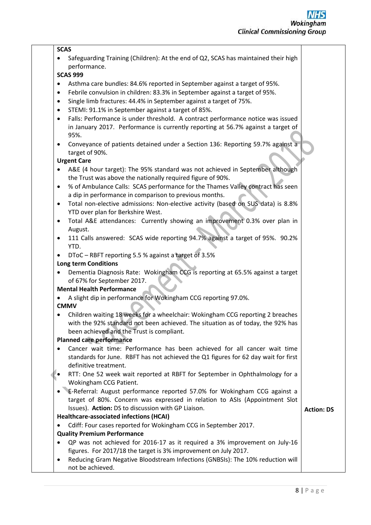#### **SCAS**

• Safeguarding Training (Children): At the end of Q2, SCAS has maintained their high performance.

## **SCAS 999**

- Asthma care bundles: 84.6% reported in September against a target of 95%.
- Febrile convulsion in children: 83.3% in September against a target of 95%.
- Single limb fractures: 44.4% in September against a target of 75%.
- STEMI: 91.1% in September against a target of 85%.
- Falls: Performance is under threshold. A contract performance notice was issued in January 2017. Performance is currently reporting at 56.7% against a target of 95%.
- Conveyance of patients detained under a Section 136: Reporting 59.7% against a target of 90%.

### **Urgent Care**

- A&E (4 hour target): The 95% standard was not achieved in September although the Trust was above the nationally required figure of 90%.
- % of Ambulance Calls: SCAS performance for the Thames Valley contract has seen a dip in performance in comparison to previous months.
- Total non-elective admissions: Non-elective activity (based on SUS data) is 8.8% YTD over plan for Berkshire West.
- Total A&E attendances: Currently showing an improvement 0.3% over plan in August.
- 111 Calls answered: SCAS wide reporting 94.7% against a target of 95%. 90.2% YTD.
- DToC RBFT reporting 5.5 % against a target of 3.5%

### **Long term Conditions**

 Dementia Diagnosis Rate: Wokingham CCG is reporting at 65.5% against a target of 67% for September 2017.

### **Mental Health Performance**

A slight dip in performance for Wokingham CCG reporting 97.0%.

### **CMMV**

 Children waiting 18 weeks for a wheelchair: Wokingham CCG reporting 2 breaches with the 92% standard not been achieved. The situation as of today, the 92% has been achieved and the Trust is compliant.

### **Planned care performance**

- Cancer wait time: Performance has been achieved for all cancer wait time standards for June. RBFT has not achieved the Q1 figures for 62 day wait for first definitive treatment.
- RTT: One 52 week wait reported at RBFT for September in Ophthalmology for a Wokingham CCG Patient.
- E-Referral: August performance reported 57.0% for Wokingham CCG against a target of 80%. Concern was expressed in relation to ASIs (Appointment Slot Issues). **Action:** DS to discussion with GP Liaison.

### **Healthcare-associated infections (HCAI)**

Cdiff: Four cases reported for Wokingham CCG in September 2017.

### **Quality Premium Performance**

- QP was not achieved for 2016-17 as it required a 3% improvement on July-16 figures. For 2017/18 the target is 3% improvement on July 2017.
- Reducing Gram Negative Bloodstream Infections (GNBSIs): The 10% reduction will not be achieved.

**Action: DS**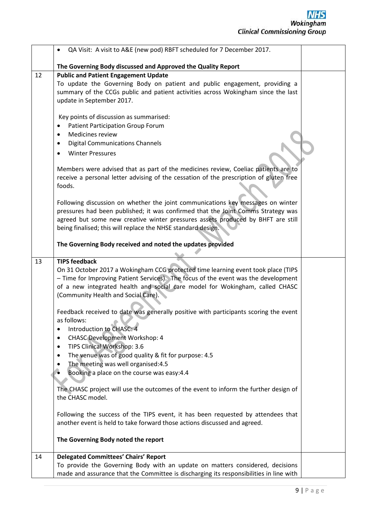|    | QA Visit: A visit to A&E (new pod) RBFT scheduled for 7 December 2017.<br>$\bullet$                                 |  |
|----|---------------------------------------------------------------------------------------------------------------------|--|
|    | The Governing Body discussed and Approved the Quality Report                                                        |  |
| 12 | <b>Public and Patient Engagement Update</b>                                                                         |  |
|    | To update the Governing Body on patient and public engagement, providing a                                          |  |
|    | summary of the CCGs public and patient activities across Wokingham since the last                                   |  |
|    | update in September 2017.                                                                                           |  |
|    |                                                                                                                     |  |
|    | Key points of discussion as summarised:                                                                             |  |
|    | Patient Participation Group Forum<br>٠                                                                              |  |
|    | Medicines review                                                                                                    |  |
|    | <b>Digital Communications Channels</b><br>$\bullet$                                                                 |  |
|    | <b>Winter Pressures</b><br>$\bullet$                                                                                |  |
|    |                                                                                                                     |  |
|    | Members were advised that as part of the medicines review, Coeliac patients are to                                  |  |
|    | receive a personal letter advising of the cessation of the prescription of gluten free                              |  |
|    | foods.                                                                                                              |  |
|    |                                                                                                                     |  |
|    | Following discussion on whether the joint communications key messages on winter                                     |  |
|    | pressures had been published; it was confirmed that the Joint Comms Strategy was                                    |  |
|    | agreed but some new creative winter pressures assets produced by BHFT are still                                     |  |
|    | being finalised; this will replace the NHSE standard design.                                                        |  |
|    |                                                                                                                     |  |
|    | The Governing Body received and noted the updates provided                                                          |  |
|    |                                                                                                                     |  |
| 13 | <b>TIPS feedback</b>                                                                                                |  |
|    | On 31 October 2017 a Wokingham CCG protected time learning event took place (TIPS                                   |  |
|    | - Time for Improving Patient Services). The focus of the event was the development                                  |  |
|    | of a new integrated health and social care model for Wokingham, called CHASC<br>(Community Health and Social Care). |  |
|    |                                                                                                                     |  |
|    | Feedback received to date was generally positive with participants scoring the event                                |  |
|    | as follows:                                                                                                         |  |
|    | Introduction to CHASC: 4<br>$\bullet$                                                                               |  |
|    | <b>CHASC Development Workshop: 4</b><br>$\bullet$                                                                   |  |
|    | TIPS Clinical Workshop: 3.6<br>٠                                                                                    |  |
|    | The venue was of good quality & fit for purpose: 4.5<br>$\bullet$                                                   |  |
|    | The meeting was well organised:4.5                                                                                  |  |
|    | Booking a place on the course was easy:4.4                                                                          |  |
|    |                                                                                                                     |  |
|    | The CHASC project will use the outcomes of the event to inform the further design of                                |  |
|    | the CHASC model.                                                                                                    |  |
|    |                                                                                                                     |  |
|    | Following the success of the TIPS event, it has been requested by attendees that                                    |  |
|    | another event is held to take forward those actions discussed and agreed.                                           |  |
|    |                                                                                                                     |  |
|    | The Governing Body noted the report                                                                                 |  |
|    |                                                                                                                     |  |
| 14 | <b>Delegated Committees' Chairs' Report</b>                                                                         |  |
|    | To provide the Governing Body with an update on matters considered, decisions                                       |  |
|    | made and assurance that the Committee is discharging its responsibilities in line with                              |  |